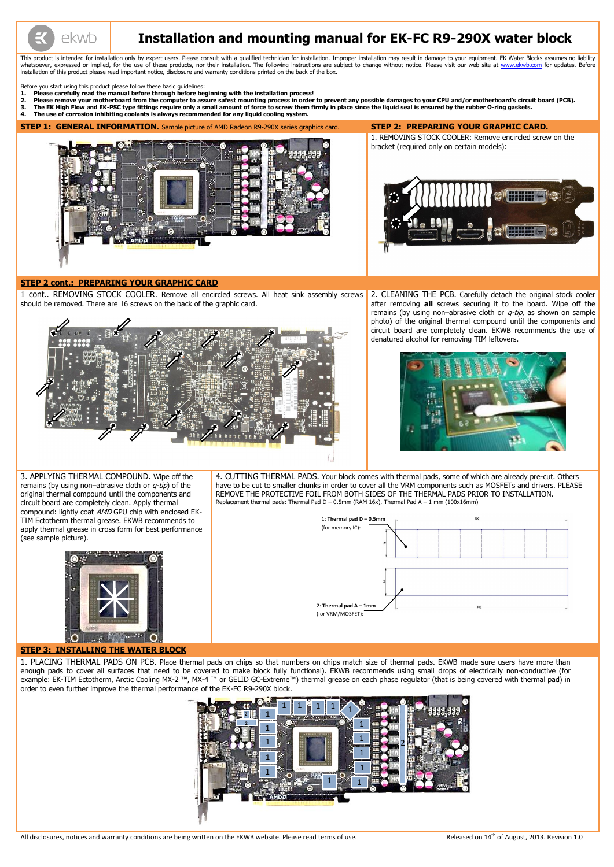

# **Installation and mounting manual for EK-FC R9-290X water block**

This product is intended for installation only by expert users. Please consult with a qualified technician for installation. Improper installation may result in damage to your equipment. EK Water Blocks assumes no liabilit whatsoever, expressed or implied, for the use of these products, nor their installation. The following instructions are subject to change without notice. Please visit our web site at [www.ekwb.com](http://www.ekwb.com/) for updates. Before installation of this product please read important notice, disclosure and warranty conditions printed on the back of the box.

Before you start using this product please follow these basic guidelines:

2. CLEANING THE PCB. Carefully detach the original stock cooler after removing **all** screws securing it to the board. Wipe off the remains (by using non-abrasive cloth or  $q$ -tip, as shown on sample photo) of the original thermal compound until the components and circuit board are completely clean. EKWB recommends the use of denatured alcohol for removing TIM leftovers.



- **1. Please carefully read the manual before through before beginning with the installation process!**
- 2. Please remove your motherboard from the computer to assure safest mounting process in order to prevent any possible damages to your CPU and/or motherboard's circuit board (PCB).<br>3. The EK High Flow and EK-PSC type fitti
- **3. The EK High Flow and EK-PSC type fittings require only a small amount of force to screw them firmly in place since the liquid seal is ensured by the rubber O-ring gaskets.**
- **4. The use of corrosion inhibiting coolants is always recommended for any liquid cooling system.**

**STEP 1: GENERAL INFORMATION.** Sample picture of AMD Radeon R9-290X series graphics card. **STEP 2: PREPARING YOUR GRAPHIC CARD.**



1. REMOVING STOCK COOLER: Remove encircled screw on the bracket (required only on certain models):



#### **STEP 2 cont.: PREPARING YOUR GRAPHIC CARD**

1 cont.. REMOVING STOCK COOLER. Remove all encircled screws. All heat sink assembly screws should be removed. There are 16 screws on the back of the graphic card.



3. APPLYING THERMAL COMPOUND. Wipe off the remains (by using non–abrasive cloth or  $q$ -tip) of the original thermal compound until the components and circuit board are completely clean. Apply thermal compound: lightly coat AMD GPU chip with enclosed EK-TIM Ectotherm thermal grease. EKWB recommends to apply thermal grease in cross form for best performance (see sample picture).



4. CUTTING THERMAL PADS. Your block comes with thermal pads, some of which are already pre-cut. Others have to be cut to smaller chunks in order to cover all the VRM components such as MOSFETs and drivers. PLEASE REMOVE THE PROTECTIVE FOIL FROM BOTH SIDES OF THE THERMAL PADS PRIOR TO INSTALLATION. Replacement thermal pads: Thermal Pad D – 0.5mm (RAM 16x), Thermal Pad A – 1 mm (100x16mm)

**STEP 3: INSTALLING THE WATER BLOCK**

l,

1. PLACING THERMAL PADS ON PCB. Place thermal pads on chips so that numbers on chips match size of thermal pads. EKWB made sure users have more than enough pads to cover all surfaces that need to be covered to make block fully functional). EKWB recommends using small drops of electrically non-conductive (for example: EK-TIM Ectotherm, Arctic Cooling MX-2 ™, MX-4 ™ or GELID GC-Extreme™) thermal grease on each phase regulator (that is being covered with thermal pad) in order to even further improve the thermal performance of the EK-FC R9-290X block.



All disclosures, notices and warranty conditions are being written on the EKWB website. Please read terms of use. Released on 14<sup>th</sup> of August, 2013. Revision 1.0